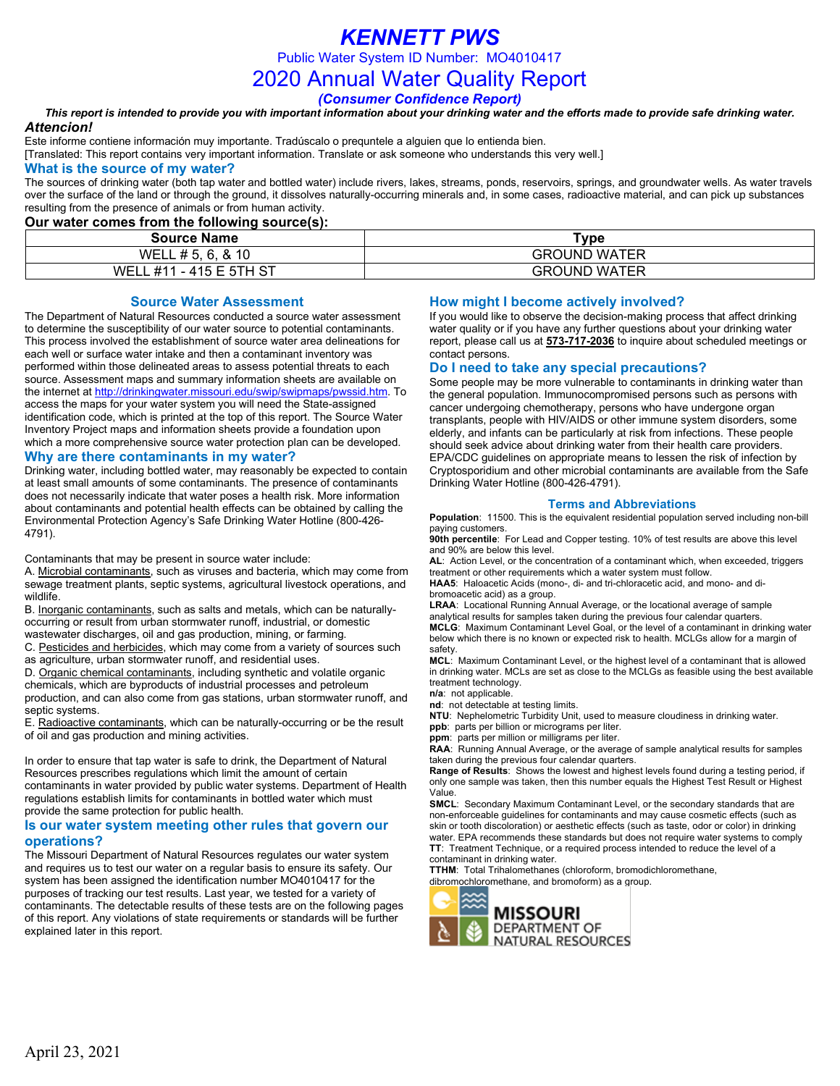## *KENNETT PWS*

Public Water System ID Number: MO4010417

2020 Annual Water Quality Report

*(Consumer Confidence Report)*

#### *This report is intended to provide you with important information about your drinking water and the efforts made to provide safe drinking water. Attencion!*

Este informe contiene información muy importante. Tradúscalo o prequntele a alguien que lo entienda bien.

[Translated: This report contains very important information. Translate or ask someone who understands this very well.]

#### **What is the source of my water?**

The sources of drinking water (both tap water and bottled water) include rivers, lakes, streams, ponds, reservoirs, springs, and groundwater wells. As water travels over the surface of the land or through the ground, it dissolves naturally-occurring minerals and, in some cases, radioactive material, and can pick up substances resulting from the presence of animals or from human activity.

#### **Our water comes from the following source(s):**

| <u>am natal adillad llalli tila lallallilla adalaalah</u> |                     |
|-----------------------------------------------------------|---------------------|
| <b>Source Name</b>                                        | ™vpe                |
| WELL # 5, 6, & 10                                         | <b>GROUND WATER</b> |
| WELL #11 - 415 E 5TH ST                                   | <b>GROUND WATER</b> |

#### **Source Water Assessment**

The Department of Natural Resources conducted a source water assessment to determine the susceptibility of our water source to potential contaminants. This process involved the establishment of source water area delineations for each well or surface water intake and then a contaminant inventory was performed within those delineated areas to assess potential threats to each source. Assessment maps and summary information sheets are available on the internet a[t http://drinkingwater.missouri.edu/swip/swipmaps/pwssid.htm.](http://drinkingwater.missouri.edu/swip/swipmaps/pwssid.htm) To access the maps for your water system you will need the State-assigned identification code, which is printed at the top of this report. The Source Water Inventory Project maps and information sheets provide a foundation upon which a more comprehensive source water protection plan can be developed. **Why are there contaminants in my water?**

Drinking water, including bottled water, may reasonably be expected to contain at least small amounts of some contaminants. The presence of contaminants does not necessarily indicate that water poses a health risk. More information about contaminants and potential health effects can be obtained by calling the Environmental Protection Agency's Safe Drinking Water Hotline (800-426- 4791).

Contaminants that may be present in source water include:

A. Microbial contaminants, such as viruses and bacteria, which may come from sewage treatment plants, septic systems, agricultural livestock operations, and wildlife.

B. Inorganic contaminants, such as salts and metals, which can be naturallyoccurring or result from urban stormwater runoff, industrial, or domestic wastewater discharges, oil and gas production, mining, or farming.

C. Pesticides and herbicides, which may come from a variety of sources such as agriculture, urban stormwater runoff, and residential uses.

D. Organic chemical contaminants, including synthetic and volatile organic chemicals, which are byproducts of industrial processes and petroleum production, and can also come from gas stations, urban stormwater runoff, and septic systems.

E. Radioactive contaminants, which can be naturally-occurring or be the result of oil and gas production and mining activities.

In order to ensure that tap water is safe to drink, the Department of Natural Resources prescribes regulations which limit the amount of certain contaminants in water provided by public water systems. Department of Health regulations establish limits for contaminants in bottled water which must provide the same protection for public health.

### **Is our water system meeting other rules that govern our operations?**

The Missouri Department of Natural Resources regulates our water system and requires us to test our water on a regular basis to ensure its safety. Our system has been assigned the identification number MO4010417 for the purposes of tracking our test results. Last year, we tested for a variety of contaminants. The detectable results of these tests are on the following pages of this report. Any violations of state requirements or standards will be further explained later in this report.

### **How might I become actively involved?**

If you would like to observe the decision-making process that affect drinking water quality or if you have any further questions about your drinking water report, please call us at **573-717-2036** to inquire about scheduled meetings or contact persons.

#### **Do I need to take any special precautions?**

Some people may be more vulnerable to contaminants in drinking water than the general population. Immunocompromised persons such as persons with cancer undergoing chemotherapy, persons who have undergone organ transplants, people with HIV/AIDS or other immune system disorders, some elderly, and infants can be particularly at risk from infections. These people should seek advice about drinking water from their health care providers. EPA/CDC guidelines on appropriate means to lessen the risk of infection by Cryptosporidium and other microbial contaminants are available from the Safe Drinking Water Hotline (800-426-4791).

#### **Terms and Abbreviations**

**Population**: 11500. This is the equivalent residential population served including non-bill paying customers.

**90th percentile**: For Lead and Copper testing. 10% of test results are above this level and 90% are below this level.

**AL**: Action Level, or the concentration of a contaminant which, when exceeded, triggers treatment or other requirements which a water system must follow.

**HAA5**: Haloacetic Acids (mono-, di- and tri-chloracetic acid, and mono- and dibromoacetic acid) as a group.

**LRAA**: Locational Running Annual Average, or the locational average of sample analytical results for samples taken during the previous four calendar quarters.

**MCLG**: Maximum Contaminant Level Goal, or the level of a contaminant in drinking water below which there is no known or expected risk to health. MCLGs allow for a margin of safety.

**MCL**: Maximum Contaminant Level, or the highest level of a contaminant that is allowed in drinking water. MCLs are set as close to the MCLGs as feasible using the best available treatment technology.

**n/a**: not applicable.

**nd**: not detectable at testing limits.

**NTU**: Nephelometric Turbidity Unit, used to measure cloudiness in drinking water.

**ppb**: parts per billion or micrograms per liter.

**ppm**: parts per million or milligrams per liter.

**RAA**: Running Annual Average, or the average of sample analytical results for samples taken during the previous four calendar quarters.

**Range of Results**: Shows the lowest and highest levels found during a testing period, if only one sample was taken, then this number equals the Highest Test Result or Highest Value.

**SMCL**: Secondary Maximum Contaminant Level, or the secondary standards that are non-enforceable guidelines for contaminants and may cause cosmetic effects (such as skin or tooth discoloration) or aesthetic effects (such as taste, odor or color) in drinking water. EPA recommends these standards but does not require water systems to comply **TT**: Treatment Technique, or a required process intended to reduce the level of a contaminant in drinking water.

**TTHM**: Total Trihalomethanes (chloroform, bromodichloromethane,

dibromochloromethane, and bromoform) as a group.

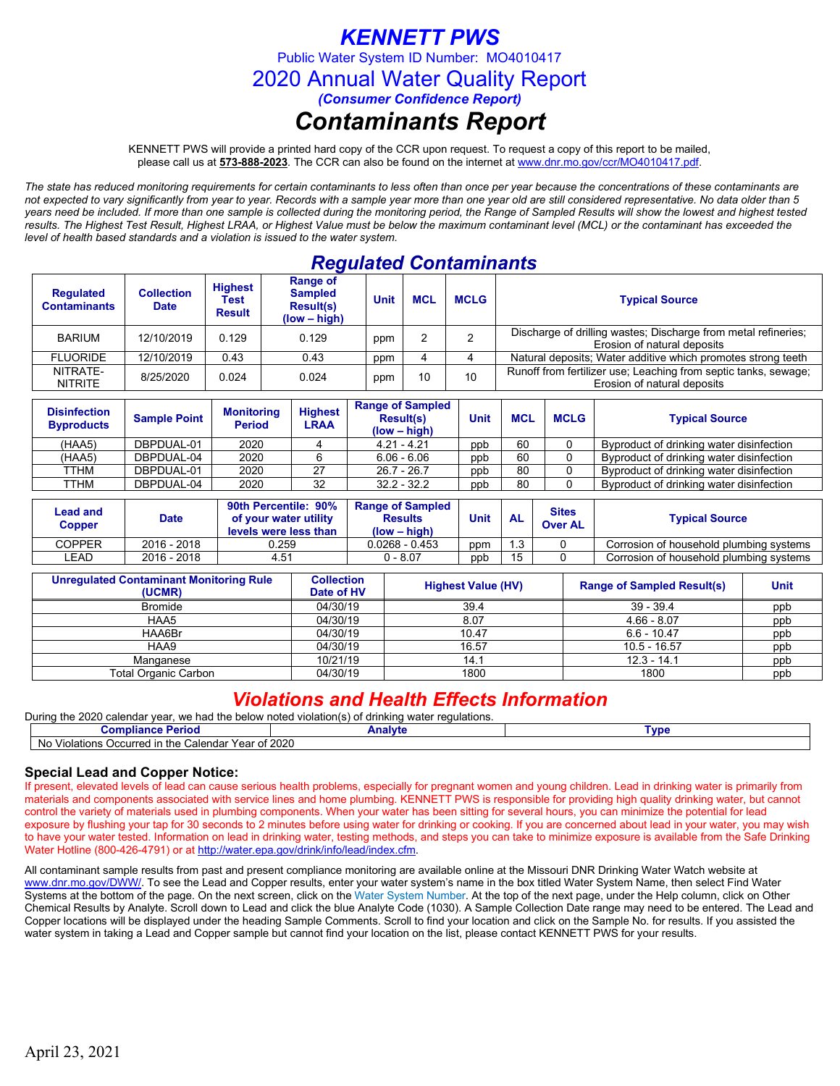# *KENNETT PWS*

Public Water System ID Number: MO4010417

2020 Annual Water Quality Report

*(Consumer Confidence Report)*

## *Contaminants Report*

KENNETT PWS will provide a printed hard copy of the CCR upon request. To request a copy of this report to be mailed, please call us at **573-888-2023***.* The CCR can also be found on the internet at www.dnr.mo.gov/ccr/MO4010417.pdf.

*The state has reduced monitoring requirements for certain contaminants to less often than once per year because the concentrations of these contaminants are not expected to vary significantly from year to year. Records with a sample year more than one year old are still considered representative. No data older than 5 years need be included. If more than one sample is collected during the monitoring period, the Range of Sampled Results will show the lowest and highest tested results. The Highest Test Result, Highest LRAA, or Highest Value must be below the maximum contaminant level (MCL) or the contaminant has exceeded the level of health based standards and a violation is issued to the water system.* 

## *Regulated Contaminants*

| <b>Regulated</b><br><b>Contaminants</b> | <b>Collection</b><br><b>Date</b> | <b>Highest</b><br>Test<br><b>Result</b> | <b>Range of</b><br><b>Sampled</b><br><b>Result(s)</b><br>$(low - high)$ | <b>Unit</b> | <b>MCL</b> | <b>MCLG</b> | <b>Typical Source</b>                                                                          |
|-----------------------------------------|----------------------------------|-----------------------------------------|-------------------------------------------------------------------------|-------------|------------|-------------|------------------------------------------------------------------------------------------------|
| <b>BARIUM</b>                           | 12/10/2019                       | 0.129                                   | 0.129                                                                   | ppm         |            |             | Discharge of drilling wastes; Discharge from metal refineries;<br>Erosion of natural deposits  |
| <b>FLUORIDE</b>                         | 12/10/2019                       | 0.43                                    | 0.43                                                                    | ppm         |            |             | Natural deposits; Water additive which promotes strong teeth                                   |
| NITRATE-<br><b>NITRITE</b>              | 8/25/2020                        | 0.024                                   | 0.024                                                                   | 10<br>ppm   |            | 10          | Runoff from fertilizer use; Leaching from septic tanks, sewage;<br>Erosion of natural deposits |

| <b>Disinfection</b><br><b>Byproducts</b> | <b>Sample Point</b> | <b>Monitoring</b><br><b>Period</b> | <b>Highest</b><br>LRAA | <b>Range of Sampled</b><br><b>Result(s)</b><br>$(low - high)$ | <b>Unit</b> | <b>MCL</b> | <b>MCLG</b> | <b>Typical Source</b>                    |
|------------------------------------------|---------------------|------------------------------------|------------------------|---------------------------------------------------------------|-------------|------------|-------------|------------------------------------------|
| (HAA5)                                   | DBPDUAL-01          | 2020                               |                        | $4.21 - 4.21$                                                 | ppb         | 60         |             | Byproduct of drinking water disinfection |
| (HAA5)                                   | DBPDUAL-04          | 2020                               |                        | $6.06 - 6.06$                                                 | ppb         | 60         |             | Byproduct of drinking water disinfection |
| TTHM                                     | DBPDUAL-01          | 2020                               | 27                     | $26.7 - 26.7$                                                 | ppb         | 80         |             | Byproduct of drinking water disinfection |
| TTHM                                     | DBPDUAL-04          | 2020                               | 32                     | $32.2 - 32.2$                                                 | ppb         | 80         |             | Byproduct of drinking water disinfection |

| Lead and<br>Copper | 90th Percentile: 90%<br>of your water utility<br><b>Date</b><br>levels were less than |       | <b>Range of Sampled</b><br><b>Results</b><br>$(low - high)$ | Unit | <b>AL</b> | <b>Sites</b><br><b>Over AL</b> | <b>Typical Source</b>                   |
|--------------------|---------------------------------------------------------------------------------------|-------|-------------------------------------------------------------|------|-----------|--------------------------------|-----------------------------------------|
| COPPER             | 2016 - 2018                                                                           | 0.259 | $0.0268 - 0.453$                                            | ppm  | . 3       |                                | Corrosion of household plumbing systems |
| _EAD               | 2016 - 2018                                                                           | 4.51  | 0 - 8.07                                                    | ppb  | 15        |                                | Corrosion of household plumbing systems |

| <b>Unregulated Contaminant Monitoring Rule</b><br>(UCMR) | <b>Collection</b><br>Date of HV | <b>Highest Value (HV)</b> | <b>Range of Sampled Result(s)</b> | <b>Unit</b> |
|----------------------------------------------------------|---------------------------------|---------------------------|-----------------------------------|-------------|
| <b>Bromide</b>                                           | 04/30/19                        | 39.4                      | $39 - 39.4$                       | ppb         |
| HAA5                                                     | 04/30/19                        | 8.07                      | $4.66 - 8.07$                     | ppb         |
| HAA6Br                                                   | 04/30/19                        | 10.47                     | $6.6 - 10.47$                     | ppb         |
| HAA9                                                     | 04/30/19                        | 16.57                     | $10.5 - 16.57$                    | ppb         |
| Manganese                                                | 10/21/19                        | 14.1                      | $12.3 - 14.1$                     | ppb         |
| <b>Total Organic Carbon</b>                              | 04/30/19                        | 1800                      | 1800                              | ppb         |

### *Violations and Health Effects Information*

| During the 2020 calendar year, we had the below noted violation(s) of drinking water regulations. |         |       |  |  |  |  |  |
|---------------------------------------------------------------------------------------------------|---------|-------|--|--|--|--|--|
| Compliance Period                                                                                 | Analvte | Tvpe: |  |  |  |  |  |
| No Violations Occurred in the Calendar Year of 2020                                               |         |       |  |  |  |  |  |

### **Special Lead and Copper Notice:**

If present, elevated levels of lead can cause serious health problems, especially for pregnant women and young children. Lead in drinking water is primarily from materials and components associated with service lines and home plumbing. KENNETT PWS is responsible for providing high quality drinking water, but cannot control the variety of materials used in plumbing components. When your water has been sitting for several hours, you can minimize the potential for lead exposure by flushing your tap for 30 seconds to 2 minutes before using water for drinking or cooking. If you are concerned about lead in your water, you may wish to have your water tested. Information on lead in drinking water, testing methods, and steps you can take to minimize exposure is available from the Safe Drinking Water Hotline (800-426-4791) or at [http://water.epa.gov/drink/info/lead/index.cfm.](http://water.epa.gov/drink/info/lead/index.cfm)

All contaminant sample results from past and present compliance monitoring are available online at the Missouri DNR Drinking Water Watch website at [www.dnr.mo.gov/DWW/.](http://www.dnr.mo.gov/DWW/) To see the Lead and Copper results, enter your water system's name in the box titled Water System Name, then select Find Water Systems at the bottom of the page. On the next screen, click on the Water System Number. At the top of the next page, under the Help column, click on Other Chemical Results by Analyte. Scroll down to Lead and click the blue Analyte Code (1030). A Sample Collection Date range may need to be entered. The Lead and Copper locations will be displayed under the heading Sample Comments. Scroll to find your location and click on the Sample No. for results. If you assisted the water system in taking a Lead and Copper sample but cannot find your location on the list, please contact KENNETT PWS for your results.